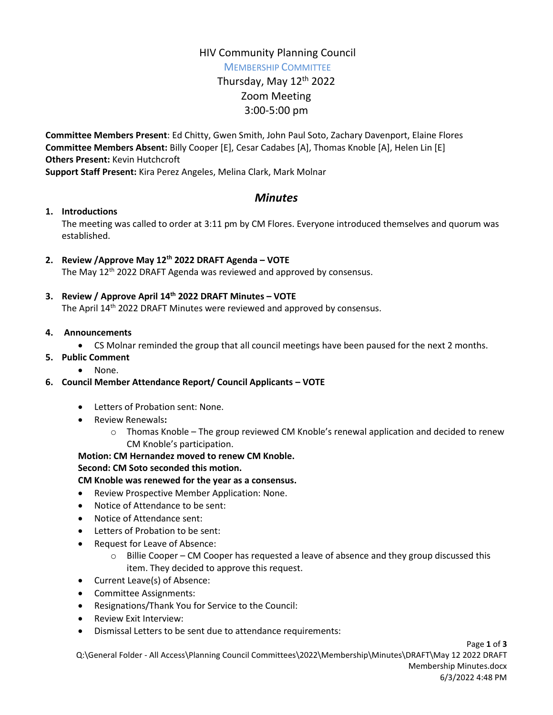## HIV Community Planning Council

MEMBERSHIP COMMITTEE

# Thursday, May 12th 2022 Zoom Meeting 3:00-5:00 pm

**Committee Members Present**: Ed Chitty, Gwen Smith, John Paul Soto, Zachary Davenport, Elaine Flores **Committee Members Absent:** Billy Cooper [E], Cesar Cadabes [A], Thomas Knoble [A], Helen Lin [E] **Others Present:** Kevin Hutchcroft

**Support Staff Present:** Kira Perez Angeles, Melina Clark, Mark Molnar

## *Minutes*

## **1. Introductions**

The meeting was called to order at 3:11 pm by CM Flores. Everyone introduced themselves and quorum was established.

## **2. Review /Approve May 12th 2022 DRAFT Agenda – VOTE**

The May 12<sup>th</sup> 2022 DRAFT Agenda was reviewed and approved by consensus.

## **3. Review / Approve April 14th 2022 DRAFT Minutes – VOTE**

The April 14<sup>th</sup> 2022 DRAFT Minutes were reviewed and approved by consensus.

#### **4. Announcements**

- CS Molnar reminded the group that all council meetings have been paused for the next 2 months.
- **5. Public Comment**
	- None.

## **6. Council Member Attendance Report/ Council Applicants – VOTE**

- Letters of Probation sent: None.
- Review Renewals**:**
	- $\circ$  Thomas Knoble The group reviewed CM Knoble's renewal application and decided to renew CM Knoble's participation.

#### **Motion: CM Hernandez moved to renew CM Knoble.**

#### **Second: CM Soto seconded this motion.**

#### **CM Knoble was renewed for the year as a consensus.**

- Review Prospective Member Application: None.
- Notice of Attendance to be sent:
- Notice of Attendance sent:
- Letters of Probation to be sent:
- Request for Leave of Absence:
	- o Billie Cooper CM Cooper has requested a leave of absence and they group discussed this item. They decided to approve this request.
- Current Leave(s) of Absence:
- Committee Assignments:
- Resignations/Thank You for Service to the Council:
- Review Exit Interview:
- Dismissal Letters to be sent due to attendance requirements: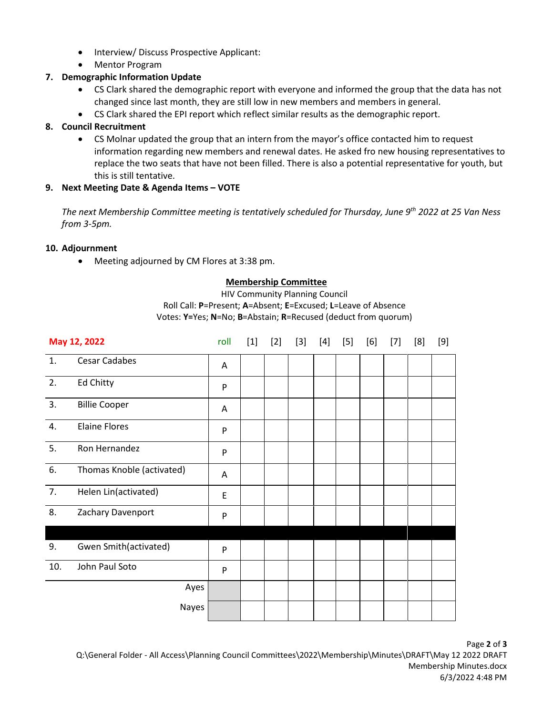- Interview/ Discuss Prospective Applicant:
- Mentor Program

## **7. Demographic Information Update**

- CS Clark shared the demographic report with everyone and informed the group that the data has not changed since last month, they are still low in new members and members in general.
- CS Clark shared the EPI report which reflect similar results as the demographic report.

## **8. Council Recruitment**

 CS Molnar updated the group that an intern from the mayor's office contacted him to request information regarding new members and renewal dates. He asked fro new housing representatives to replace the two seats that have not been filled. There is also a potential representative for youth, but this is still tentative.

## **9. Next Meeting Date & Agenda Items – VOTE**

*The next Membership Committee meeting is tentatively scheduled for Thursday, June 9th 2022 at 25 Van Ness from 3-5pm.* 

#### **10. Adjournment**

Meeting adjourned by CM Flores at 3:38 pm.

#### **Membership Committee**

HIV Community Planning Council Roll Call: **P**=Present; **A**=Absent; **E**=Excused; **L**=Leave of Absence Votes: **Y=**Yes; **N**=No; **B**=Abstain; **R**=Recused (deduct from quorum)

|     | May 12, 2022              | roll      | $[1]$ | $[2]$ | $[3]$ | $[4]$ | $[5]$ | [6] | $[7]$ | [8] | $[9]$ |
|-----|---------------------------|-----------|-------|-------|-------|-------|-------|-----|-------|-----|-------|
| 1.  | <b>Cesar Cadabes</b>      | A         |       |       |       |       |       |     |       |     |       |
| 2.  | <b>Ed Chitty</b>          | P         |       |       |       |       |       |     |       |     |       |
| 3.  | <b>Billie Cooper</b>      | Α         |       |       |       |       |       |     |       |     |       |
| 4.  | <b>Elaine Flores</b>      | ${\sf P}$ |       |       |       |       |       |     |       |     |       |
| 5.  | Ron Hernandez             | P         |       |       |       |       |       |     |       |     |       |
| 6.  | Thomas Knoble (activated) | Α         |       |       |       |       |       |     |       |     |       |
| 7.  | Helen Lin(activated)      | E         |       |       |       |       |       |     |       |     |       |
| 8.  | Zachary Davenport         | P         |       |       |       |       |       |     |       |     |       |
|     |                           |           |       |       |       |       |       |     |       |     |       |
| 9.  | Gwen Smith(activated)     | P         |       |       |       |       |       |     |       |     |       |
| 10. | John Paul Soto            | P         |       |       |       |       |       |     |       |     |       |
|     | Ayes                      |           |       |       |       |       |       |     |       |     |       |
|     | Nayes                     |           |       |       |       |       |       |     |       |     |       |